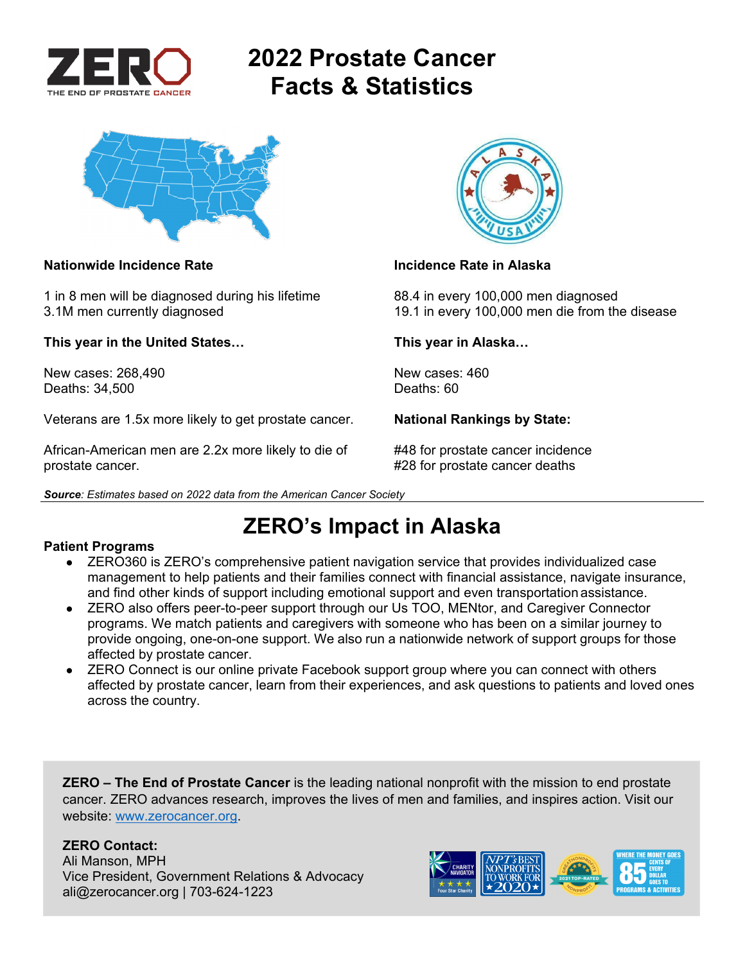

# **2022 Prostate Cancer Facts & Statistics**



### **Nationwide Incidence Rate Incidence Rate in Alaska**

1 in 8 men will be diagnosed during his lifetime 88.4 in every 100,000 men diagnosed

**This year in the United States… This year in Alaska…** 

New cases: 268,490 New cases: 460 Deaths: 34,500 Deaths: 60

Veterans are 1.5x more likely to get prostate cancer. **National Rankings by State:** 

African-American men are 2.2x more likely to die of #48 for prostate cancer incidence prostate cancer. #28 for prostate cancer deaths

*Source: Estimates based on 2022 data from the American Cancer Society* 



3.1M men currently diagnosed 19.1 in every 100,000 men die from the disease

## **ZERO's Impact in Alaska**

### **Patient Programs**

- ZERO360 is ZERO's comprehensive patient navigation service that provides individualized case management to help patients and their families connect with financial assistance, navigate insurance, and find other kinds of support including emotional support and even transportation assistance.
- ZERO also offers peer-to-peer support through our Us TOO, MENtor, and Caregiver Connector programs. We match patients and caregivers with someone who has been on a similar journey to provide ongoing, one-on-one support. We also run a nationwide network of support groups for those affected by prostate cancer.
- ZERO Connect is our online private Facebook support group where you can connect with others affected by prostate cancer, learn from their experiences, and ask questions to patients and loved ones across the country.

**ZERO – The End of Prostate Cancer** is the leading national nonprofit with the mission to end prostate cancer. ZERO advances research, improves the lives of men and families, and inspires action. Visit our website: www.zerocancer.org.

## **ZERO Contact:**

Ali Manson, MPH Vice President, Government Relations & Advocacy ali@zerocancer.org | 703-624-1223